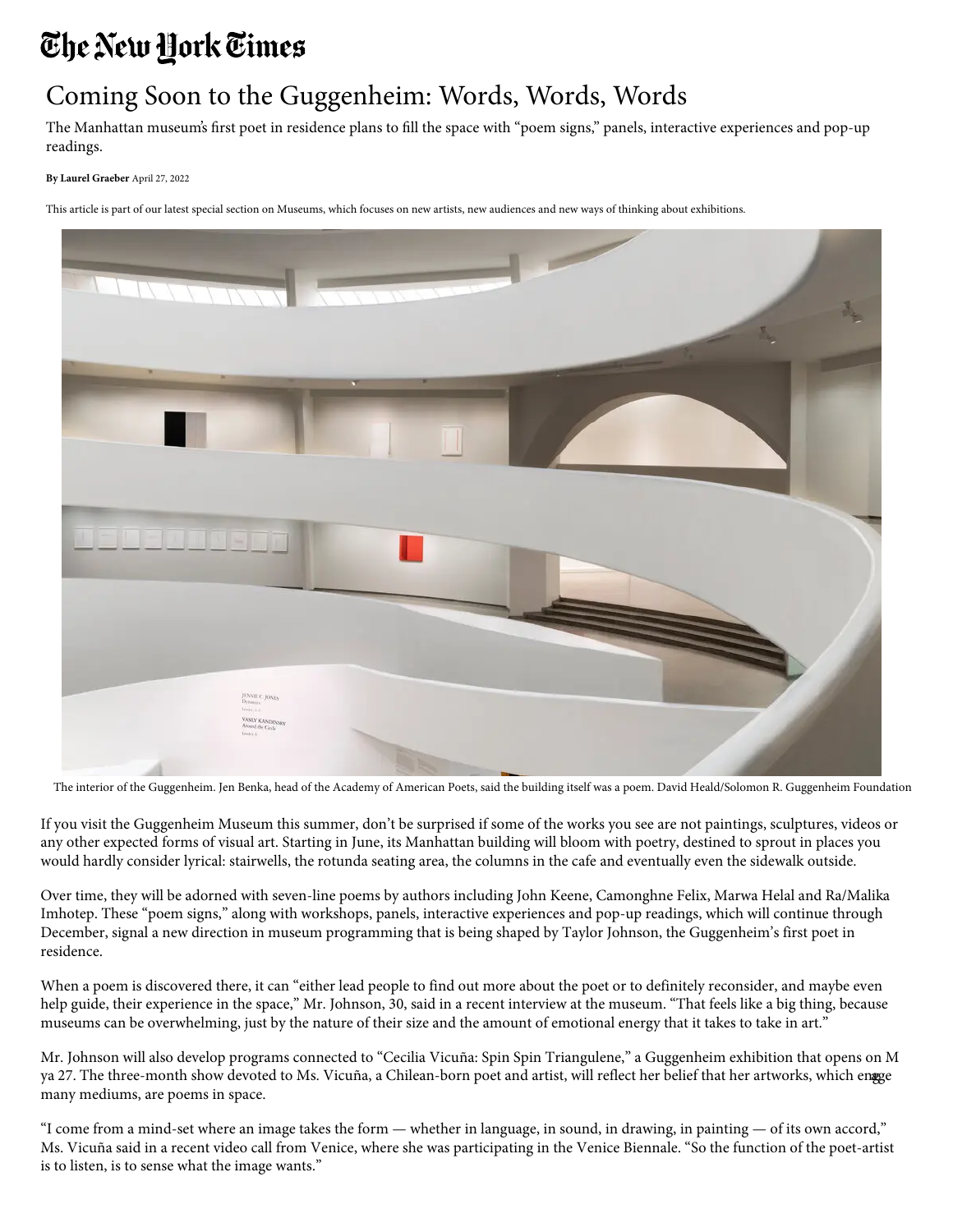## The New York Times

## Coming Soon to the Guggenheim: Words, Words, Words

The Manhattan museum's first poet in residence plans to fill the space with "poem signs," panels, interactive experiences and pop-up readings.

**By [Laurel Graeber](https://www.nytimes.com/by/laurel-graeber)** April 27, 2022

This article is part of our latest [special section on Museums,](https://www.nytimes.com/spotlight/museums-special-section) which focuses on new artists, new audiences and new ways of thinking about exhibitions.



The interior of the Guggenheim. Jen Benka, head of the Academy of American Poets, said the building itself was a poem. David Heald/Solomon R. Guggenheim Foundation

If you visit the [Guggenheim Museum](https://www.guggenheim.org/) this summer, don't be surprised if some of the works you see are not paintings, sculptures, videos or any other expected forms of visual art. Starting in June, its Manhattan building will bloom with poetry, destined to sprout in places you would hardly consider lyrical: stairwells, the rotunda seating area, the columns in the cafe and eventually even the sidewalk outside.

Over time, they will be adorned with seven-line poems by authors including [John Keene,](https://www.poetryfoundation.org/poets/john-keene) [Camonghne Felix](https://poets.org/poet/camonghne-felix), [Marwa Helal](http://marshelal.com/) and Ra/Malika Imhotep. These "poem signs," along with workshops, panels, interactive experiences and pop-up readings, which will continue through December, signal a new direction in museum programming that is being shaped by [Taylor Johnson](http://www.taylorjohnsonpoems.com/), the Guggenheim's first poet in residence.

When a poem is discovered there, it can "either lead people to find out more about the poet or to definitely reconsider, and maybe even help guide, their experience in the space," Mr. Johnson, 30, said in a recent interview at the museum. "That feels like a big thing, because museums can be overwhelming, just by the nature of their size and the amount of emotional energy that it takes to take in art."

Mr. Johnson will also develop programs connected to ["Cecilia Vicuña: Spin Spin Triangulene](https://www.guggenheim.org/exhibition/cecilia-vicuna-spin-spin-triangulene)," a Guggenheim exhibition that opens on M ya 27. The three-month show devoted to Ms. Vicuña, a [Chilean-born poet and artist](http://www.ceciliavicuna.com/), will reflect her belief that her artworks, which engge many mediums, are poems in space.

"I come from a mind-set where an image takes the form — whether in language, in sound, in drawing, in painting — of its own accord," Ms. Vicuña said in a recent video call from Venice, where she was participating in [the Venice Biennale.](https://www.nytimes.com/2022/04/19/arts/design/venice-biennale-women-art.html) "So the function of the poet-artist is to listen, is to sense what the image wants."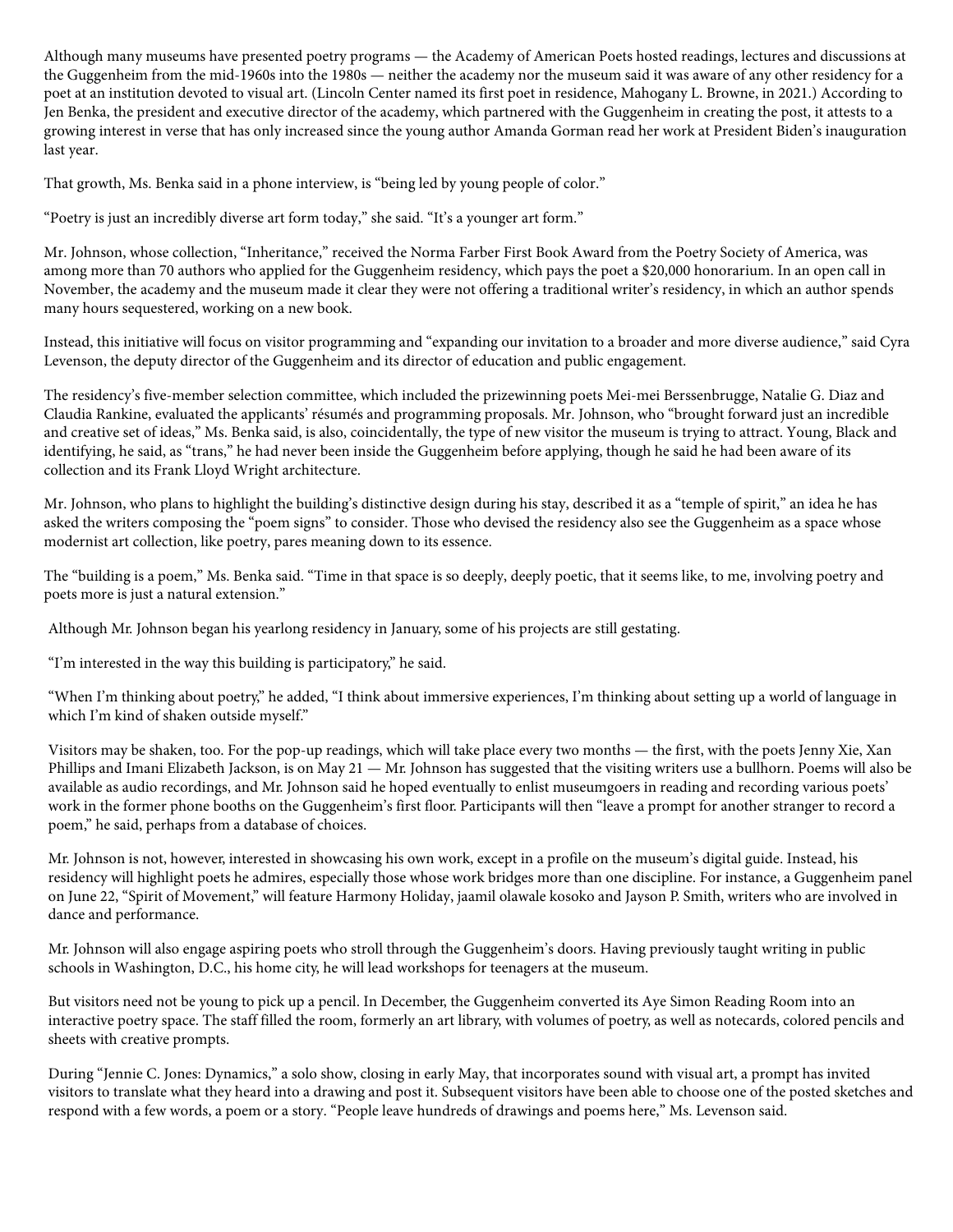Although many museums have presented poetry programs — the Academy of American Poets hosted readings, lectures and discussions at the Guggenheim from the mid-1960s into the 1980s — neither the academy nor the museum said it was aware of any other residency for a poet at an institution devoted to visual art. (Lincoln Center named its first poet in residence, Mahogany L. Browne, in 2021.) According to Jen Benka, the president and executive director of the academy, which partnered with the Guggenheim in creating the post, it attests to a growing interest in verse that has only increased since the young author Amanda Gorman read her work at President Biden's inauguration last year.

[That growth, Ms. Benka said in a phone interview, is "being led by young people of color."](https://www.xandriaphillips.com/)

"Poetry is just an incredibly diverse art form today," she said. "It's a younger art form."

Mr. Johnson, whose collection, "Inheritance," received the Norma Farber First Book Award from the Poetry Society of America, was among more than 70 authors who applied for the Guggenheim residency, which pays the poet a \$20,000 honorarium. In an open call in November, the academy and the museum made it clear they were not offering a traditional writer's residency, in which an author spends many hours sequestered, working on a new book.

Instead, this initiative will focus on visitor programming and "expanding our invitation to a broader and more diverse audience," said Cyra Levenson, the deputy director of the Guggenheim and its director of education and public engagement.

The residency's five-member selection committee, which included the prizewinning poets Mei-mei Berssenbrugge, Natalie G. Diaz and Claudia Rankine, evaluated the applicants' résumés and programming proposals. Mr. Johnson, who "brought forward just an incredible and creative set of ideas," Ms. Benka said, is also, coincidentally, the type of new visitor the museum is trying to attract. Young, Black and identifying, he said, as "trans," he had never been inside the Guggenheim before applying, though he said he had been aware of its collection and its Frank Lloyd Wright architecture.

Mr. Johnson, who plans to highlight the building's distinctive design during his stay, described it as a "temple of spirit," an idea he has asked the writers composing the "poem signs" to consider. Those who devised the residency also see the Guggenheim as a space whose modernist art collection, like poetry, pares meaning down to its essence.

The "building is a poem," Ms. Benka said. "Time in that space is so deeply, deeply poetic, that it seems like, to me, involving poetry and poets more is just a natural extension."

Although Mr. Johnson began his yearlong residency in January, some of his projects are still gestating.

"I'm interested in the way this building is participatory," he said.

"When I'm thinking about poetry," he added, "I think about immersive experiences, I'm thinking about setting up a world of language in which I'm kind of shaken outside myself."

Visitors may be shaken, too. For the pop-up readings, which will take place every two months — the first, with the poets [Jenny Xie](http://www.jennymxie.com/), Xan Phillips and [Imani Elizabeth Jackson,](https://www.imanie.info/) is on May 21 — Mr. Johnson has suggested that the visiting writers use a bullhorn. Poems will also be available as audio recordings, and Mr. Johnson said he hoped eventually to enlist museumgoers in reading and recording various poets' work in the former phone booths on the Guggenheim's first floor. Participants will then "leave a prompt for another stranger to record a poem," he said, perhaps from a database of choices.

Mr. Johnson is not, however, interested in showcasing his own work, except in a profile on the museum's digital guide. Instead, his residency will highlight poets he admires, especially those whose work bridges more than one discipline. For instance, a Guggenheim panel on June 22, "Spirit of Movement," will feature [Harmony Holiday](https://www.poetryfoundation.org/poets/harmony-holiday), [jaamil olawale kosoko](https://www.jaamil.com/) and [Jayson P. Smith](http://www.jaysonpsmith.com/), writers who are involved in dance and performance.

Mr. Johnson will also engage aspiring poets who stroll through the Guggenheim's doors. Having previously taught writing in public schools in Washington, D.C., his home city, he will lead workshops for teenagers at the museum.

But visitors need not be young to pick up a pencil. In December, the Guggenheim converted its [Aye Simon Reading Room](https://guggenheim.org/for-educators/education-facilities) into an interactive poetry space. The staff filled the room, formerly an art library, with volumes of poetry, as well as notecards, colored pencils and sheets with creative prompts.

During "Jennie C. Jones: Dynamics," a solo show, closing in early May, that incorporates sound with visual art, a prompt has invited visitors to translate what they heard into a drawing and post it. Subsequent visitors have been able to choose one of the posted sketches and respond with a few words, a poem or a story. "People leave hundreds of drawings and poems here," Ms. Levenson said.